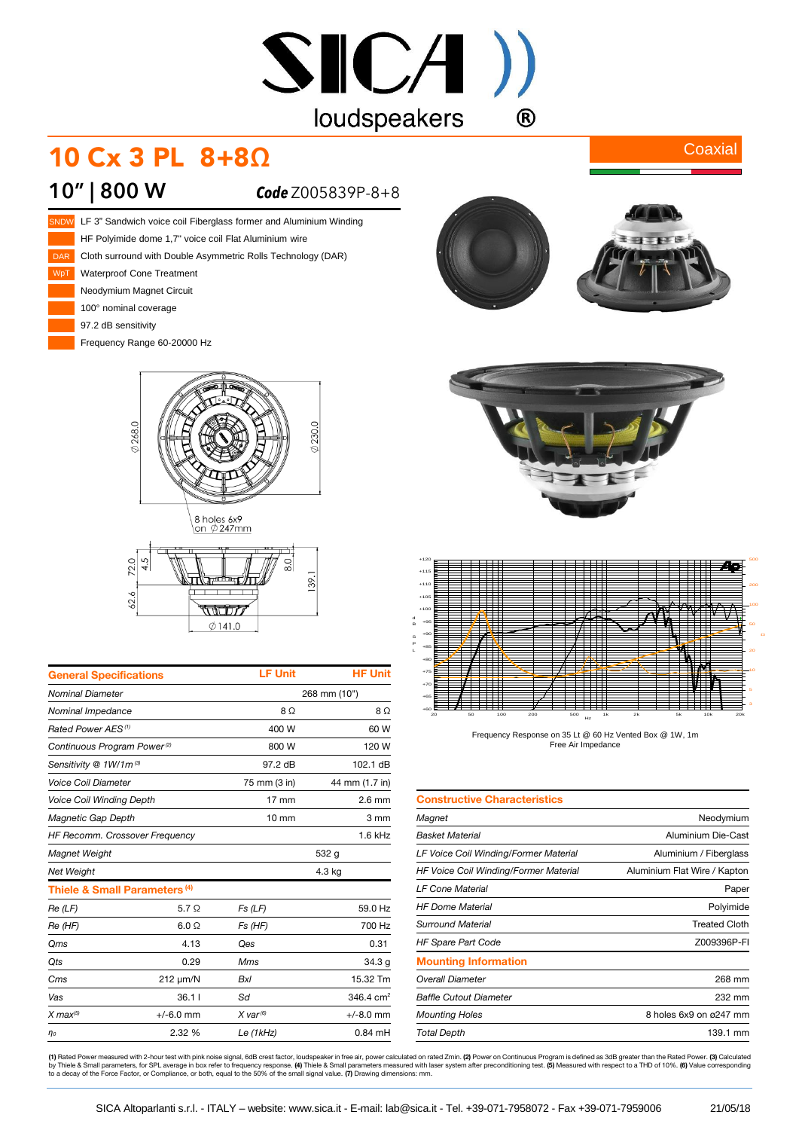# $SICA$ ) loudspeakers  $\bigcirc$

## 10 Cx 3 PL 8+8Ω

#### **10" | 800 W** *Code* Z005839P-8+8







| <b>General Specifications</b>           |                                          | <b>LF Unit</b>  | <b>HF Unit</b> |
|-----------------------------------------|------------------------------------------|-----------------|----------------|
| <b>Nominal Diameter</b>                 |                                          | 268 mm (10")    |                |
| Nominal Impedance                       |                                          | $8\Omega$       | 8Ω             |
| Rated Power AES <sup>(1)</sup>          |                                          | 400 W           | 60 W           |
| Continuous Program Power <sup>(2)</sup> |                                          | 800 W           | 120 W          |
| Sensitivity @ 1W/1m(3)                  |                                          | 97.2 dB         | 102.1 dB       |
| <b>Voice Coil Diameter</b>              |                                          | 75 mm (3 in)    | 44 mm (1.7 in) |
| <b>Voice Coil Winding Depth</b>         |                                          | $17 \text{ mm}$ | $2.6$ mm       |
| Magnetic Gap Depth                      |                                          | $10 \text{ mm}$ | 3 mm           |
| HF Recomm. Crossover Frequency          |                                          |                 | $1.6$ kHz      |
| Magnet Weight                           |                                          |                 | 532 g          |
| <b>Net Weight</b>                       |                                          |                 | 4.3 kg         |
|                                         | Thiele & Small Parameters <sup>(4)</sup> |                 |                |
| Re(LF)                                  | $5.7\Omega$                              | Fs(LF)          | 59.0 Hz        |
| Re (HF)                                 | $6.0 \Omega$                             | Fs (HF)         | 700 Hz         |
| Qms                                     | 4.13                                     | Qes             | 0.31           |
| <b>Qts</b>                              | 0.29                                     | Mms             | 34.3 g         |
| Cms                                     | 212 µm/N                                 | <b>Bxl</b>      | 15.32 Tm       |
| Vas                                     | 36.11                                    | Sd              | 346.4 $cm2$    |
| $X$ max $^{(5)}$                        | $+/-6.0$ mm                              | $X$ var $(6)$   | $+/-8.0$ mm    |
| $\eta_0$                                | 2.32 %                                   | Le $(1kHz)$     | $0.84$ mH      |



**Coaxial** 





Frequency Response on 35 Lt @ 60 Hz Vented Box @ 1W, 1m Free Air Impedance

| <b>Constructive Characteristics</b>   |                              |
|---------------------------------------|------------------------------|
| Magnet                                | Neodymium                    |
| <b>Basket Material</b>                | Aluminium Die-Cast           |
| LF Voice Coil Winding/Former Material | Aluminium / Fiberglass       |
| HF Voice Coil Winding/Former Material | Aluminium Flat Wire / Kapton |
| <b>LF Cone Material</b>               | Paper                        |
| <b>HF Dome Material</b>               | Polyimide                    |
| Surround Material                     | <b>Treated Cloth</b>         |
| <b>HF Spare Part Code</b>             | Z009396P-FI                  |
| <b>Mounting Information</b>           |                              |
| <b>Overall Diameter</b>               | 268 mm                       |
| <b>Baffle Cutout Diameter</b>         | 232 mm                       |
| <b>Mounting Holes</b>                 | 8 holes 6x9 on ø247 mm       |
| <b>Total Depth</b>                    | 139.1 mm                     |

**(1)** Rated Power measured with 2-hour test with pink noise signal, 6dB crest factor, loudspeaker in free air, power calculated on rated 2min. **(2)** Power on Continuous Program is defined as 3dB greater than the Rated Powe